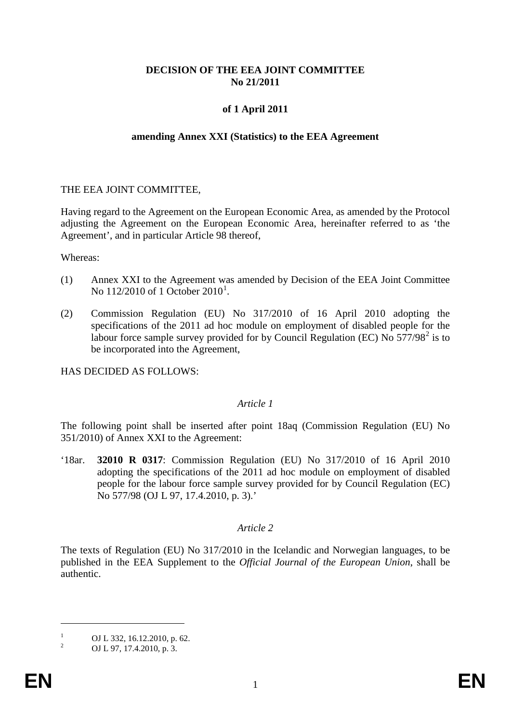# **DECISION OF THE EEA JOINT COMMITTEE No 21/2011**

# **of 1 April 2011**

#### **amending Annex XXI (Statistics) to the EEA Agreement**

#### THE EEA JOINT COMMITTEE,

Having regard to the Agreement on the European Economic Area, as amended by the Protocol adjusting the Agreement on the European Economic Area, hereinafter referred to as 'the Agreement', and in particular Article 98 thereof,

Whereas:

- (1) Annex XXI to the Agreement was amended by Decision of the EEA Joint Committee No  $112/2010$  $112/2010$  of 1 October  $2010^1$ .
- (2) Commission Regulation (EU) No 317/2010 of 16 April 2010 adopting the specifications of the 2011 ad hoc module on employment of disabled people for the labour force sample survey provided for by Council Regulation (EC) No  $577/98^2$  $577/98^2$  is to be incorporated into the Agreement,

HAS DECIDED AS FOLLOWS:

## *Article 1*

The following point shall be inserted after point 18aq (Commission Regulation (EU) No 351/2010) of Annex XXI to the Agreement:

'18ar. **32010 R 0317**: Commission Regulation (EU) No 317/2010 of 16 April 2010 adopting the specifications of the 2011 ad hoc module on employment of disabled people for the labour force sample survey provided for by Council Regulation (EC) No 577/98 (OJ L 97, 17.4.2010, p. 3).'

## *Article 2*

The texts of Regulation (EU) No 317/2010 in the Icelandic and Norwegian languages, to be published in the EEA Supplement to the *Official Journal of the European Union*, shall be authentic.

 $\overline{a}$ 

<span id="page-0-0"></span><sup>&</sup>lt;sup>1</sup> OJ L 332, 16.12.2010, p. 62.<br>
OJ L 97, 17.4.2010, p. 3.

<span id="page-0-2"></span><span id="page-0-1"></span>